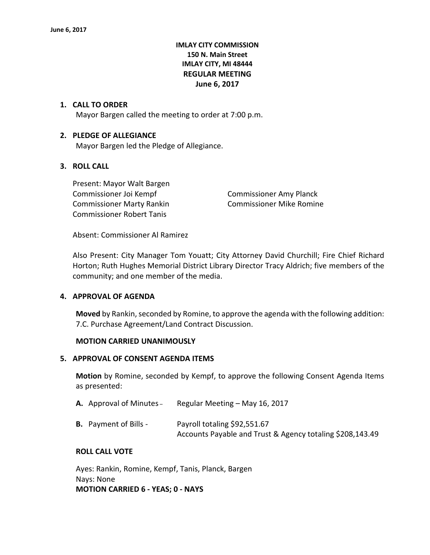# **IMLAY CITY COMMISSION 150 N. Main Street IMLAY CITY, MI 48444 REGULAR MEETING June 6, 2017**

## **1. CALL TO ORDER**

Mayor Bargen called the meeting to order at 7:00 p.m.

## **2. PLEDGE OF ALLEGIANCE**

Mayor Bargen led the Pledge of Allegiance.

# **3. ROLL CALL**

Present: Mayor Walt Bargen Commissioner Joi Kempf Commissioner Amy Planck Commissioner Marty Rankin Commissioner Mike Romine Commissioner Robert Tanis

Absent: Commissioner Al Ramirez

Also Present: City Manager Tom Youatt; City Attorney David Churchill; Fire Chief Richard Horton; Ruth Hughes Memorial District Library Director Tracy Aldrich; five members of the community; and one member of the media.

#### **4. APPROVAL OF AGENDA**

**Moved** by Rankin, seconded by Romine, to approve the agenda with the following addition: 7.C. Purchase Agreement/Land Contract Discussion.

#### **MOTION CARRIED UNANIMOUSLY**

## **5. APPROVAL OF CONSENT AGENDA ITEMS**

**Motion** by Romine, seconded by Kempf, to approve the following Consent Agenda Items as presented:

| <b>A.</b> Approval of Minutes – | Regular Meeting - May 16, 2017                                                            |
|---------------------------------|-------------------------------------------------------------------------------------------|
| <b>B.</b> Payment of Bills -    | Payroll totaling \$92,551.67<br>Accounts Payable and Trust & Agency totaling \$208,143.49 |

#### **ROLL CALL VOTE**

Ayes: Rankin, Romine, Kempf, Tanis, Planck, Bargen Nays: None **MOTION CARRIED 6 - YEAS; 0 - NAYS**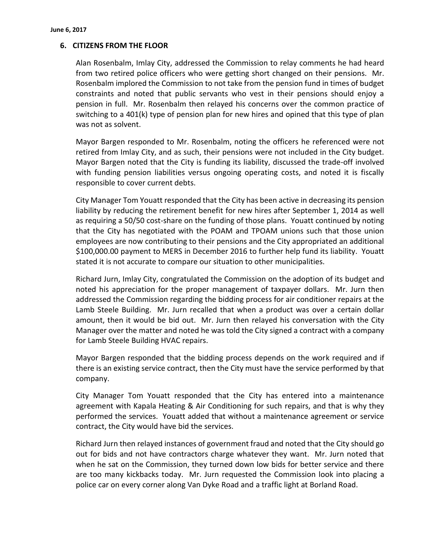## **6. CITIZENS FROM THE FLOOR**

Alan Rosenbalm, Imlay City, addressed the Commission to relay comments he had heard from two retired police officers who were getting short changed on their pensions. Mr. Rosenbalm implored the Commission to not take from the pension fund in times of budget constraints and noted that public servants who vest in their pensions should enjoy a pension in full. Mr. Rosenbalm then relayed his concerns over the common practice of switching to a 401(k) type of pension plan for new hires and opined that this type of plan was not as solvent.

Mayor Bargen responded to Mr. Rosenbalm, noting the officers he referenced were not retired from Imlay City, and as such, their pensions were not included in the City budget. Mayor Bargen noted that the City is funding its liability, discussed the trade-off involved with funding pension liabilities versus ongoing operating costs, and noted it is fiscally responsible to cover current debts.

City Manager Tom Youatt responded that the City has been active in decreasing its pension liability by reducing the retirement benefit for new hires after September 1, 2014 as well as requiring a 50/50 cost-share on the funding of those plans. Youatt continued by noting that the City has negotiated with the POAM and TPOAM unions such that those union employees are now contributing to their pensions and the City appropriated an additional \$100,000.00 payment to MERS in December 2016 to further help fund its liability. Youatt stated it is not accurate to compare our situation to other municipalities.

Richard Jurn, Imlay City, congratulated the Commission on the adoption of its budget and noted his appreciation for the proper management of taxpayer dollars. Mr. Jurn then addressed the Commission regarding the bidding process for air conditioner repairs at the Lamb Steele Building. Mr. Jurn recalled that when a product was over a certain dollar amount, then it would be bid out. Mr. Jurn then relayed his conversation with the City Manager over the matter and noted he was told the City signed a contract with a company for Lamb Steele Building HVAC repairs.

Mayor Bargen responded that the bidding process depends on the work required and if there is an existing service contract, then the City must have the service performed by that company.

City Manager Tom Youatt responded that the City has entered into a maintenance agreement with Kapala Heating & Air Conditioning for such repairs, and that is why they performed the services. Youatt added that without a maintenance agreement or service contract, the City would have bid the services.

Richard Jurn then relayed instances of government fraud and noted that the City should go out for bids and not have contractors charge whatever they want. Mr. Jurn noted that when he sat on the Commission, they turned down low bids for better service and there are too many kickbacks today. Mr. Jurn requested the Commission look into placing a police car on every corner along Van Dyke Road and a traffic light at Borland Road.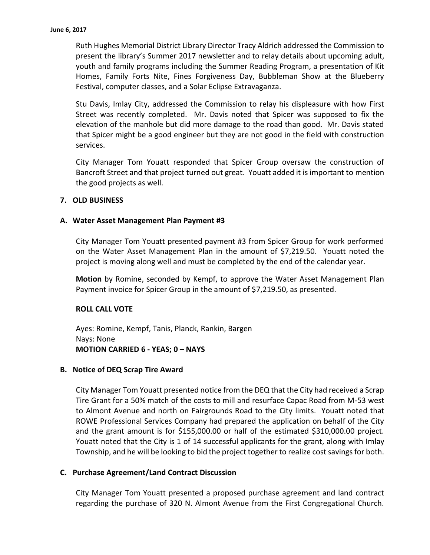Ruth Hughes Memorial District Library Director Tracy Aldrich addressed the Commission to present the library's Summer 2017 newsletter and to relay details about upcoming adult, youth and family programs including the Summer Reading Program, a presentation of Kit Homes, Family Forts Nite, Fines Forgiveness Day, Bubbleman Show at the Blueberry Festival, computer classes, and a Solar Eclipse Extravaganza.

Stu Davis, Imlay City, addressed the Commission to relay his displeasure with how First Street was recently completed. Mr. Davis noted that Spicer was supposed to fix the elevation of the manhole but did more damage to the road than good. Mr. Davis stated that Spicer might be a good engineer but they are not good in the field with construction services.

City Manager Tom Youatt responded that Spicer Group oversaw the construction of Bancroft Street and that project turned out great. Youatt added it is important to mention the good projects as well.

## **7. OLD BUSINESS**

## **A. Water Asset Management Plan Payment #3**

City Manager Tom Youatt presented payment #3 from Spicer Group for work performed on the Water Asset Management Plan in the amount of \$7,219.50. Youatt noted the project is moving along well and must be completed by the end of the calendar year.

**Motion** by Romine, seconded by Kempf, to approve the Water Asset Management Plan Payment invoice for Spicer Group in the amount of \$7,219.50, as presented.

#### **ROLL CALL VOTE**

Ayes: Romine, Kempf, Tanis, Planck, Rankin, Bargen Nays: None **MOTION CARRIED 6 - YEAS; 0 – NAYS**

#### **B. Notice of DEQ Scrap Tire Award**

City Manager Tom Youatt presented notice from the DEQ that the City had received a Scrap Tire Grant for a 50% match of the costs to mill and resurface Capac Road from M-53 west to Almont Avenue and north on Fairgrounds Road to the City limits. Youatt noted that ROWE Professional Services Company had prepared the application on behalf of the City and the grant amount is for \$155,000.00 or half of the estimated \$310,000.00 project. Youatt noted that the City is 1 of 14 successful applicants for the grant, along with Imlay Township, and he will be looking to bid the project together to realize cost savings for both.

## **C. Purchase Agreement/Land Contract Discussion**

City Manager Tom Youatt presented a proposed purchase agreement and land contract regarding the purchase of 320 N. Almont Avenue from the First Congregational Church.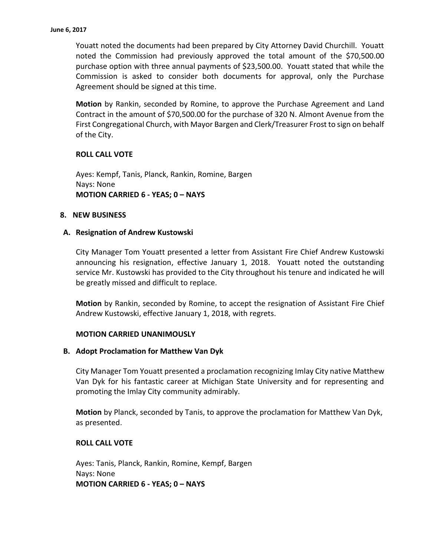Youatt noted the documents had been prepared by City Attorney David Churchill. Youatt noted the Commission had previously approved the total amount of the \$70,500.00 purchase option with three annual payments of \$23,500.00. Youatt stated that while the Commission is asked to consider both documents for approval, only the Purchase Agreement should be signed at this time.

**Motion** by Rankin, seconded by Romine, to approve the Purchase Agreement and Land Contract in the amount of \$70,500.00 for the purchase of 320 N. Almont Avenue from the First Congregational Church, with Mayor Bargen and Clerk/Treasurer Frost to sign on behalf of the City.

## **ROLL CALL VOTE**

Ayes: Kempf, Tanis, Planck, Rankin, Romine, Bargen Nays: None **MOTION CARRIED 6 - YEAS; 0 – NAYS**

#### **8. NEW BUSINESS**

## **A. Resignation of Andrew Kustowski**

City Manager Tom Youatt presented a letter from Assistant Fire Chief Andrew Kustowski announcing his resignation, effective January 1, 2018. Youatt noted the outstanding service Mr. Kustowski has provided to the City throughout his tenure and indicated he will be greatly missed and difficult to replace.

**Motion** by Rankin, seconded by Romine, to accept the resignation of Assistant Fire Chief Andrew Kustowski, effective January 1, 2018, with regrets.

#### **MOTION CARRIED UNANIMOUSLY**

#### **B. Adopt Proclamation for Matthew Van Dyk**

City Manager Tom Youatt presented a proclamation recognizing Imlay City native Matthew Van Dyk for his fantastic career at Michigan State University and for representing and promoting the Imlay City community admirably.

**Motion** by Planck, seconded by Tanis, to approve the proclamation for Matthew Van Dyk, as presented.

## **ROLL CALL VOTE**

Ayes: Tanis, Planck, Rankin, Romine, Kempf, Bargen Nays: None **MOTION CARRIED 6 - YEAS; 0 – NAYS**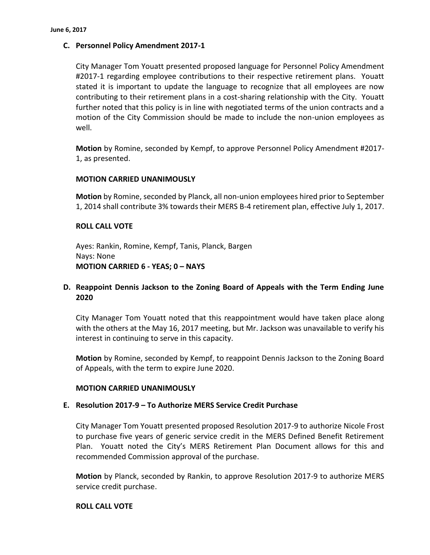## **C. Personnel Policy Amendment 2017-1**

City Manager Tom Youatt presented proposed language for Personnel Policy Amendment #2017-1 regarding employee contributions to their respective retirement plans. Youatt stated it is important to update the language to recognize that all employees are now contributing to their retirement plans in a cost-sharing relationship with the City. Youatt further noted that this policy is in line with negotiated terms of the union contracts and a motion of the City Commission should be made to include the non-union employees as well.

**Motion** by Romine, seconded by Kempf, to approve Personnel Policy Amendment #2017- 1, as presented.

#### **MOTION CARRIED UNANIMOUSLY**

**Motion** by Romine, seconded by Planck, all non-union employees hired prior to September 1, 2014 shall contribute 3% towards their MERS B-4 retirement plan, effective July 1, 2017.

#### **ROLL CALL VOTE**

Ayes: Rankin, Romine, Kempf, Tanis, Planck, Bargen Nays: None **MOTION CARRIED 6 - YEAS; 0 – NAYS**

# **D. Reappoint Dennis Jackson to the Zoning Board of Appeals with the Term Ending June 2020**

City Manager Tom Youatt noted that this reappointment would have taken place along with the others at the May 16, 2017 meeting, but Mr. Jackson was unavailable to verify his interest in continuing to serve in this capacity.

**Motion** by Romine, seconded by Kempf, to reappoint Dennis Jackson to the Zoning Board of Appeals, with the term to expire June 2020.

#### **MOTION CARRIED UNANIMOUSLY**

#### **E. Resolution 2017-9 – To Authorize MERS Service Credit Purchase**

City Manager Tom Youatt presented proposed Resolution 2017-9 to authorize Nicole Frost to purchase five years of generic service credit in the MERS Defined Benefit Retirement Plan. Youatt noted the City's MERS Retirement Plan Document allows for this and recommended Commission approval of the purchase.

**Motion** by Planck, seconded by Rankin, to approve Resolution 2017-9 to authorize MERS service credit purchase.

#### **ROLL CALL VOTE**